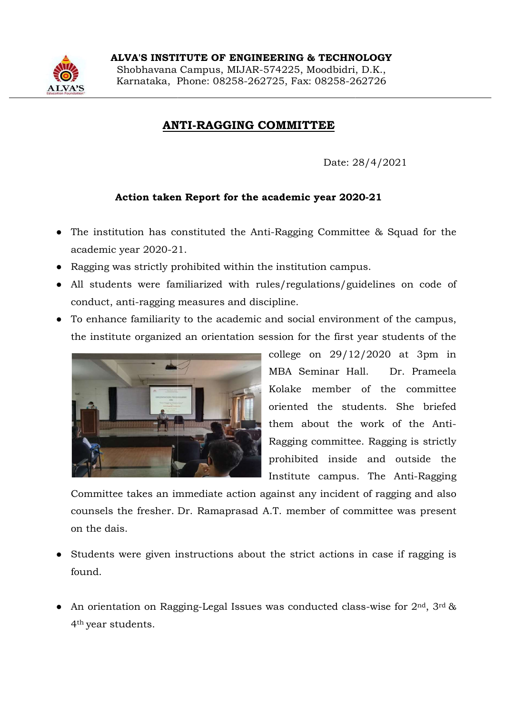

## ANTI ANTI-RAGGING COMMITTEE

Date: 28/4/2021 28/4/2021

## Action taken Report for the academic year 2020 Action taken Report for the academic year 2020-21

- The institution has constituted the Anti-Ragging Committee & Squad for the academic year 2020-21.
- Ragging was strictly prohibited within the institution campus.
- All students were familiarized with rules/regulations/guidelines on code of All students were familiarized with rules/regulations/guidelines on code of conduct, anti-ragging measures and discipline. emic year 2020-21.<br>
21.the institution campus.<br>
21.tudents were familiarized with rules/regulations/guidelines on coluct, anti-ragging measures and discipline.<br>
21.the institute standiarity to the academic and social envir
- To enhance familiarity to the academic and social environment of the campus, the institute organized an orientation session for the first year students of the To enhance familiarity to the academic and social environment of the campus,



college on 29/12/2020 /12/2020 at 3pm in MBA Seminar Hall. MBA Seminar Hall. Dr. Prameela Kolake member of the co member of the committee oriented the students. Sh oriented the students. She briefed them about the work of the Anti the work of the Anti- Ragging committee. Ragging is strictly prohibited inside and outside the prohibited inside and outside the Institute campus. The Anti Institute campus. The Anti-Ragging

Committee takes an immediate action against any incident of ragging and also Committee takes an immediate action against any incident of ragging and also counsels the fresher. Dr. Ramaprasad A.T. member of committee was present on the dais. an immediate action against any incident of ragging and also<br>ter. Dr. Ramaprasad A.T. member of committee was present<br>en instructions about the strict actions in case if ragging is<br>Ragging-Legal Issues was conducted class-

- Students were given instructions about the strict actions in case if ragging is Students were given instructions about the strict actions in case if ragging is found.
- An orientation on Ragging-Legal Issues was conducted class-wise for  $2^{nd}$ ,  $3^{rd}$  & 4th year students.